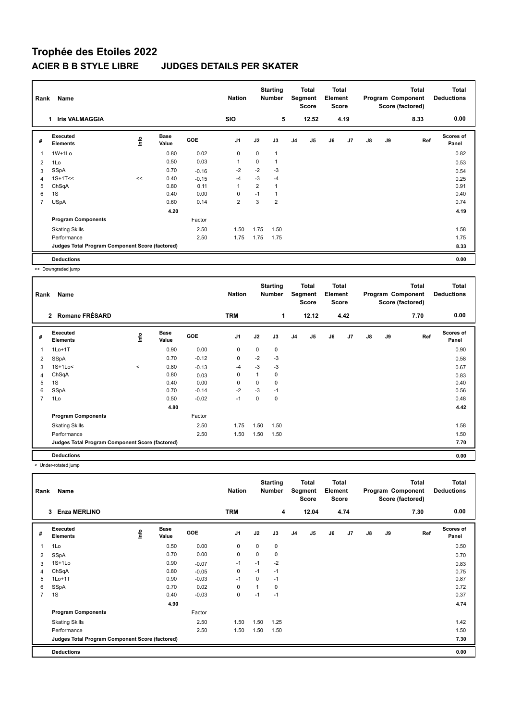## **Trophée des Etoiles 2022 ACIER B B STYLE LIBRE JUDGES DETAILS PER SKATER**

| Rank           | Name                                            |      |                      |         | <b>Nation</b>  |             | <b>Starting</b><br><b>Number</b> |                | Total<br>Segment<br><b>Score</b> | <b>Total</b><br>Element<br><b>Score</b> |      |    |    | <b>Total</b><br>Program Component<br>Score (factored) | <b>Total</b><br><b>Deductions</b> |
|----------------|-------------------------------------------------|------|----------------------|---------|----------------|-------------|----------------------------------|----------------|----------------------------------|-----------------------------------------|------|----|----|-------------------------------------------------------|-----------------------------------|
|                | <b>Iris VALMAGGIA</b><br>1                      |      |                      |         | <b>SIO</b>     |             | 5                                |                | 12.52                            |                                         | 4.19 |    |    | 8.33                                                  | 0.00                              |
| #              | Executed<br><b>Elements</b>                     | lnfo | <b>Base</b><br>Value | GOE     | J <sub>1</sub> | J2          | J3                               | J <sub>4</sub> | J <sub>5</sub>                   | J6                                      | J7   | J8 | J9 | Ref                                                   | <b>Scores of</b><br>Panel         |
|                | $1W+1Lo$                                        |      | 0.80                 | 0.02    | $\mathbf 0$    | $\mathbf 0$ | 1                                |                |                                  |                                         |      |    |    |                                                       | 0.82                              |
| 2              | 1Lo                                             |      | 0.50                 | 0.03    | $\mathbf{1}$   | $\mathbf 0$ | 1                                |                |                                  |                                         |      |    |    |                                                       | 0.53                              |
| 3              | SSpA                                            |      | 0.70                 | $-0.16$ | $-2$           | $-2$        | $-3$                             |                |                                  |                                         |      |    |    |                                                       | 0.54                              |
| 4              | $1S+1T<<$                                       | <<   | 0.40                 | $-0.15$ | $-4$           | $-3$        | $-4$                             |                |                                  |                                         |      |    |    |                                                       | 0.25                              |
| 5              | ChSqA                                           |      | 0.80                 | 0.11    | $\overline{1}$ | 2           | 1                                |                |                                  |                                         |      |    |    |                                                       | 0.91                              |
| 6              | 1S                                              |      | 0.40                 | 0.00    | 0              | $-1$        | 1                                |                |                                  |                                         |      |    |    |                                                       | 0.40                              |
| $\overline{7}$ | <b>USpA</b>                                     |      | 0.60                 | 0.14    | $\overline{2}$ | 3           | $\overline{2}$                   |                |                                  |                                         |      |    |    |                                                       | 0.74                              |
|                |                                                 |      | 4.20                 |         |                |             |                                  |                |                                  |                                         |      |    |    |                                                       | 4.19                              |
|                | <b>Program Components</b>                       |      |                      | Factor  |                |             |                                  |                |                                  |                                         |      |    |    |                                                       |                                   |
|                | <b>Skating Skills</b>                           |      |                      | 2.50    | 1.50           | 1.75        | 1.50                             |                |                                  |                                         |      |    |    |                                                       | 1.58                              |
|                | Performance                                     |      |                      | 2.50    | 1.75           | 1.75        | 1.75                             |                |                                  |                                         |      |    |    |                                                       | 1.75                              |
|                | Judges Total Program Component Score (factored) |      |                      |         |                |             |                                  |                |                                  |                                         |      |    |    |                                                       | 8.33                              |
|                | <b>Deductions</b>                               |      |                      |         |                |             |                                  |                |                                  |                                         |      |    |    |                                                       | 0.00                              |

<< Downgraded jump

| Rank           | Name                                            |             |                      |         | <b>Nation</b>  |          | <b>Starting</b><br>Number |                | Total<br>Segment<br><b>Score</b> | <b>Total</b><br>Element<br><b>Score</b> |                |    |    | <b>Total</b><br>Program Component<br>Score (factored) | Total<br><b>Deductions</b> |
|----------------|-------------------------------------------------|-------------|----------------------|---------|----------------|----------|---------------------------|----------------|----------------------------------|-----------------------------------------|----------------|----|----|-------------------------------------------------------|----------------------------|
|                | 2 Romane FRÉSARD                                |             |                      |         | <b>TRM</b>     |          | 1                         |                | 12.12                            |                                         | 4.42           |    |    | 7.70                                                  | 0.00                       |
| #              | <b>Executed</b><br><b>Elements</b>              | <b>Info</b> | <b>Base</b><br>Value | GOE     | J <sub>1</sub> | J2       | J3                        | J <sub>4</sub> | J <sub>5</sub>                   | J6                                      | J <sub>7</sub> | J8 | J9 | Ref                                                   | <b>Scores of</b><br>Panel  |
| 1              | $1Lo+1T$                                        |             | 0.90                 | 0.00    | 0              | $\Omega$ | 0                         |                |                                  |                                         |                |    |    |                                                       | 0.90                       |
| 2              | <b>SSpA</b>                                     |             | 0.70                 | $-0.12$ | $\mathbf 0$    | $-2$     | $-3$                      |                |                                  |                                         |                |    |    |                                                       | 0.58                       |
| 3              | $1S+1Lo<$                                       | $\,<$       | 0.80                 | $-0.13$ | $-4$           | $-3$     | $-3$                      |                |                                  |                                         |                |    |    |                                                       | 0.67                       |
| 4              | ChSqA                                           |             | 0.80                 | 0.03    | 0              | 1        | 0                         |                |                                  |                                         |                |    |    |                                                       | 0.83                       |
| 5              | 1S                                              |             | 0.40                 | 0.00    | 0              | $\Omega$ | 0                         |                |                                  |                                         |                |    |    |                                                       | 0.40                       |
| 6              | <b>SSpA</b>                                     |             | 0.70                 | $-0.14$ | $-2$           | $-3$     | $-1$                      |                |                                  |                                         |                |    |    |                                                       | 0.56                       |
| $\overline{7}$ | 1Lo                                             |             | 0.50                 | $-0.02$ | $-1$           | 0        | 0                         |                |                                  |                                         |                |    |    |                                                       | 0.48                       |
|                |                                                 |             | 4.80                 |         |                |          |                           |                |                                  |                                         |                |    |    |                                                       | 4.42                       |
|                | <b>Program Components</b>                       |             |                      | Factor  |                |          |                           |                |                                  |                                         |                |    |    |                                                       |                            |
|                | <b>Skating Skills</b>                           |             |                      | 2.50    | 1.75           | 1.50     | 1.50                      |                |                                  |                                         |                |    |    |                                                       | 1.58                       |
|                | Performance                                     |             |                      | 2.50    | 1.50           | 1.50     | 1.50                      |                |                                  |                                         |                |    |    |                                                       | 1.50                       |
|                | Judges Total Program Component Score (factored) |             |                      |         |                |          |                           |                |                                  |                                         |                |    |    |                                                       | 7.70                       |
|                | <b>Deductions</b>                               |             |                      |         |                |          |                           |                |                                  |                                         |                |    |    |                                                       | 0.00                       |

< Under-rotated jump

| Rank           | Name                                            |      |                      |         | <b>Nation</b>  |          | <b>Starting</b><br><b>Number</b> |                | <b>Total</b><br>Segment<br><b>Score</b> | <b>Total</b><br>Element<br><b>Score</b> |      |               |    | <b>Total</b><br>Program Component<br>Score (factored) | <b>Total</b><br><b>Deductions</b> |
|----------------|-------------------------------------------------|------|----------------------|---------|----------------|----------|----------------------------------|----------------|-----------------------------------------|-----------------------------------------|------|---------------|----|-------------------------------------------------------|-----------------------------------|
|                | <b>Enza MERLINO</b><br>$\mathbf{3}$             |      |                      |         | <b>TRM</b>     |          | 4                                |                | 12.04                                   |                                         | 4.74 |               |    | 7.30                                                  | 0.00                              |
| #              | Executed<br><b>Elements</b>                     | Life | <b>Base</b><br>Value | GOE     | J <sub>1</sub> | J2       | J3                               | J <sub>4</sub> | J5                                      | J6                                      | J7   | $\mathsf{J}8$ | J9 | Ref                                                   | <b>Scores of</b><br>Panel         |
| 1              | 1Lo                                             |      | 0.50                 | 0.00    | $\mathbf 0$    | $\Omega$ | 0                                |                |                                         |                                         |      |               |    |                                                       | 0.50                              |
| 2              | <b>SSpA</b>                                     |      | 0.70                 | 0.00    | $\mathbf 0$    | 0        | 0                                |                |                                         |                                         |      |               |    |                                                       | 0.70                              |
| 3              | $1S+1Lo$                                        |      | 0.90                 | $-0.07$ | $-1$           | $-1$     | $-2$                             |                |                                         |                                         |      |               |    |                                                       | 0.83                              |
| 4              | ChSqA                                           |      | 0.80                 | $-0.05$ | 0              | $-1$     | $-1$                             |                |                                         |                                         |      |               |    |                                                       | 0.75                              |
| 5              | $1Lo+1T$                                        |      | 0.90                 | $-0.03$ | $-1$           | $\Omega$ | $-1$                             |                |                                         |                                         |      |               |    |                                                       | 0.87                              |
| 6              | <b>SSpA</b>                                     |      | 0.70                 | 0.02    | $\mathbf 0$    |          | 0                                |                |                                         |                                         |      |               |    |                                                       | 0.72                              |
| $\overline{7}$ | 1S                                              |      | 0.40                 | $-0.03$ | $\mathbf 0$    | $-1$     | $-1$                             |                |                                         |                                         |      |               |    |                                                       | 0.37                              |
|                |                                                 |      | 4.90                 |         |                |          |                                  |                |                                         |                                         |      |               |    |                                                       | 4.74                              |
|                | <b>Program Components</b>                       |      |                      | Factor  |                |          |                                  |                |                                         |                                         |      |               |    |                                                       |                                   |
|                | <b>Skating Skills</b>                           |      |                      | 2.50    | 1.50           | 1.50     | 1.25                             |                |                                         |                                         |      |               |    |                                                       | 1.42                              |
|                | Performance                                     |      |                      | 2.50    | 1.50           | 1.50     | 1.50                             |                |                                         |                                         |      |               |    |                                                       | 1.50                              |
|                | Judges Total Program Component Score (factored) |      |                      |         |                |          |                                  |                |                                         |                                         |      |               |    |                                                       | 7.30                              |
|                | <b>Deductions</b>                               |      |                      |         |                |          |                                  |                |                                         |                                         |      |               |    |                                                       | 0.00                              |